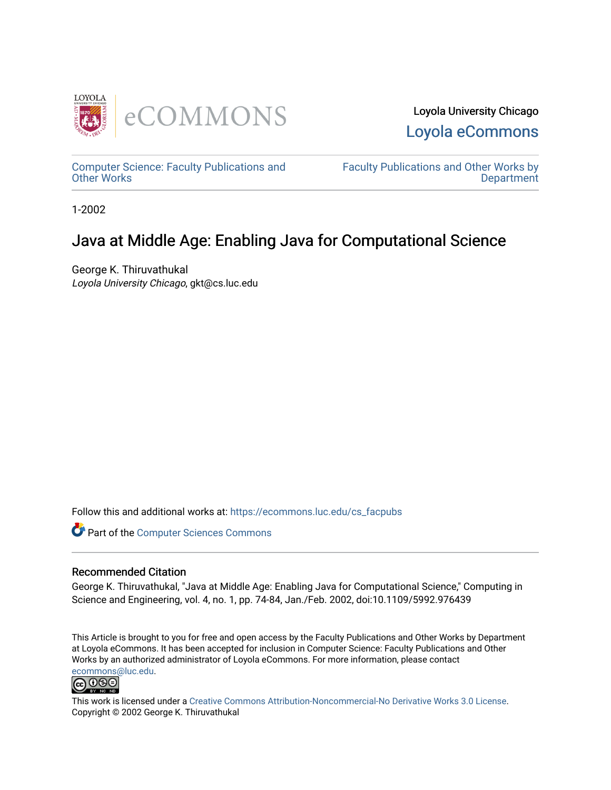

Loyola University Chicago [Loyola eCommons](https://ecommons.luc.edu/) 

[Computer Science: Faculty Publications and](https://ecommons.luc.edu/cs_facpubs) [Other Works](https://ecommons.luc.edu/cs_facpubs)

[Faculty Publications and Other Works by](https://ecommons.luc.edu/faculty)  **Department** 

1-2002

# Java at Middle Age: Enabling Java for Computational Science

George K. Thiruvathukal Loyola University Chicago, gkt@cs.luc.edu

Follow this and additional works at: [https://ecommons.luc.edu/cs\\_facpubs](https://ecommons.luc.edu/cs_facpubs?utm_source=ecommons.luc.edu%2Fcs_facpubs%2F46&utm_medium=PDF&utm_campaign=PDFCoverPages)

Part of the [Computer Sciences Commons](http://network.bepress.com/hgg/discipline/142?utm_source=ecommons.luc.edu%2Fcs_facpubs%2F46&utm_medium=PDF&utm_campaign=PDFCoverPages)

#### Recommended Citation

George K. Thiruvathukal, "Java at Middle Age: Enabling Java for Computational Science," Computing in Science and Engineering, vol. 4, no. 1, pp. 74-84, Jan./Feb. 2002, doi:10.1109/5992.976439

This Article is brought to you for free and open access by the Faculty Publications and Other Works by Department at Loyola eCommons. It has been accepted for inclusion in Computer Science: Faculty Publications and Other Works by an authorized administrator of Loyola eCommons. For more information, please contact [ecommons@luc.edu](mailto:ecommons@luc.edu).



This work is licensed under a [Creative Commons Attribution-Noncommercial-No Derivative Works 3.0 License.](https://creativecommons.org/licenses/by-nc-nd/3.0/) Copyright © 2002 George K. Thiruvathukal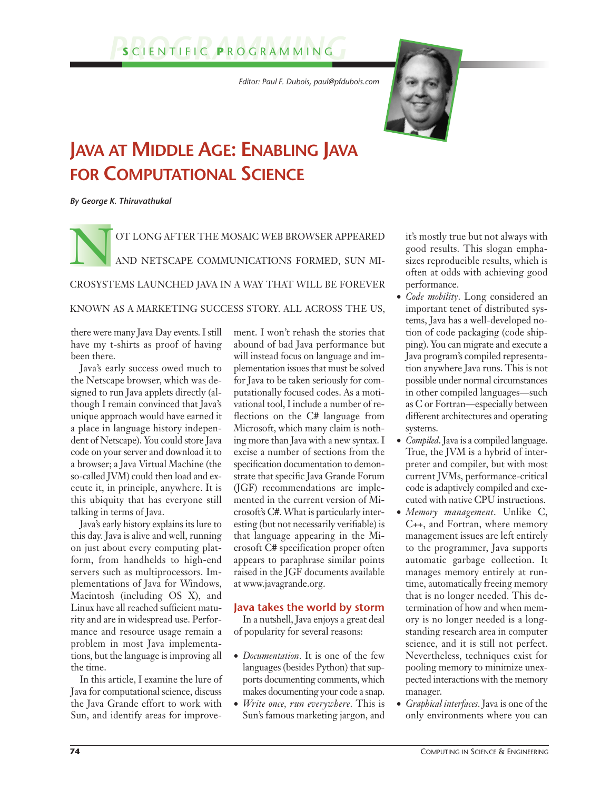# *PROGRAMMING* **<sup>S</sup>** CIENTIFIC **<sup>P</sup>** ROGRAMMING

*Editor: Paul F. Dubois, paul@pfdubois.com* 



# **JAVA AT MIDDLE AGE: ENABLING JAVA FOR COMPUTATIONAL SCIENCE**

*By George K. Thiruvathukal*

OT LONG AFTER THE MOSAIC WEB BROWSER APPEARED AND NETSCAPE COMMUNICATIONS FORMED, SUN MI-CROSYSTEMS LAUNCHED JAVA IN A WAY THAT WILL BE FOREVER

### KNOWN AS A MARKETING SUCCESS STORY. ALL ACROSS THE US,

there were many Java Day events. I still have my t-shirts as proof of having been there.

Java's early success owed much to the Netscape browser, which was designed to run Java applets directly (although I remain convinced that Java's unique approach would have earned it a place in language history independent of Netscape). You could store Java code on your server and download it to a browser; a Java Virtual Machine (the so-called JVM) could then load and execute it, in principle, anywhere. It is this ubiquity that has everyone still talking in terms of Java.

Java's early history explains its lure to this day. Java is alive and well, running on just about every computing platform, from handhelds to high-end servers such as multiprocessors. Implementations of Java for Windows, Macintosh (including OS X), and Linux have all reached sufficient maturity and are in widespread use. Performance and resource usage remain a problem in most Java implementations, but the language is improving all the time.

In this article, I examine the lure of Java for computational science, discuss the Java Grande effort to work with Sun, and identify areas for improvement. I won't rehash the stories that abound of bad Java performance but will instead focus on language and implementation issues that must be solved for Java to be taken seriously for computationally focused codes. As a motivational tool, I include a number of reflections on the C# language from Microsoft, which many claim is nothing more than Java with a new syntax. I excise a number of sections from the specification documentation to demonstrate that specific Java Grande Forum (JGF) recommendations are implemented in the current version of Microsoft's C#. What is particularly interesting (but not necessarily verifiable) is that language appearing in the Microsoft C# specification proper often appears to paraphrase similar points raised in the JGF documents available at www.javagrande.org.

### **Java takes the world by storm**

In a nutshell, Java enjoys a great deal of popularity for several reasons:

- *Documentation*. It is one of the few languages (besides Python) that supports documenting comments, which makes documenting your code a snap.
- *Write once, run everywhere*. This is Sun's famous marketing jargon, and

it's mostly true but not always with good results. This slogan emphasizes reproducible results, which is often at odds with achieving good performance.

- *Code mobility*. Long considered an important tenet of distributed systems, Java has a well-developed notion of code packaging (code shipping). You can migrate and execute a Java program's compiled representation anywhere Java runs. This is not possible under normal circumstances in other compiled languages—such as C or Fortran—especially between different architectures and operating systems.
- *Compiled*. Java is a compiled language. True, the JVM is a hybrid of interpreter and compiler, but with most current JVMs, performance-critical code is adaptively compiled and executed with native CPU instructions.
- *Memory management*. Unlike C, C++, and Fortran, where memory management issues are left entirely to the programmer, Java supports automatic garbage collection. It manages memory entirely at runtime, automatically freeing memory that is no longer needed. This determination of how and when memory is no longer needed is a longstanding research area in computer science, and it is still not perfect. Nevertheless, techniques exist for pooling memory to minimize unexpected interactions with the memory manager.
- *Graphical interfaces*. Java is one of the only environments where you can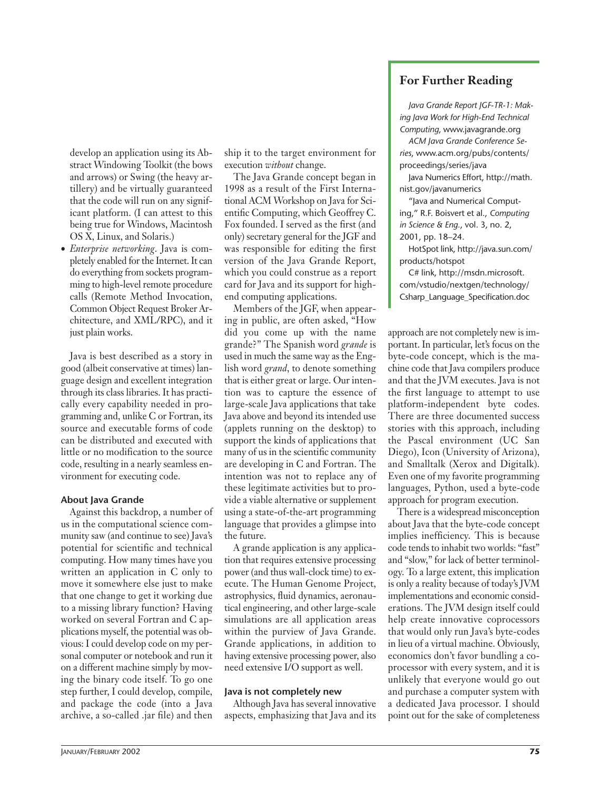develop an application using its Abstract Windowing Toolkit (the bows and arrows) or Swing (the heavy artillery) and be virtually guaranteed that the code will run on any significant platform. (I can attest to this being true for Windows, Macintosh OS X, Linux, and Solaris.)

• *Enterprise networking*. Java is completely enabled for the Internet. It can do everything from sockets programming to high-level remote procedure calls (Remote Method Invocation, Common Object Request Broker Architecture, and XML/RPC), and it just plain works.

Java is best described as a story in good (albeit conservative at times) language design and excellent integration through its class libraries. It has practically every capability needed in programming and, unlike C or Fortran, its source and executable forms of code can be distributed and executed with little or no modification to the source code, resulting in a nearly seamless environment for executing code.

#### **About Java Grande**

Against this backdrop, a number of us in the computational science community saw (and continue to see) Java's potential for scientific and technical computing. How many times have you written an application in C only to move it somewhere else just to make that one change to get it working due to a missing library function? Having worked on several Fortran and C applications myself, the potential was obvious: I could develop code on my personal computer or notebook and run it on a different machine simply by moving the binary code itself. To go one step further, I could develop, compile, and package the code (into a Java archive, a so-called .jar file) and then

ship it to the target environment for execution *without* change.

The Java Grande concept began in 1998 as a result of the First International ACM Workshop on Java for Scientific Computing, which Geoffrey C. Fox founded. I served as the first (and only) secretary general for the JGF and was responsible for editing the first version of the Java Grande Report, which you could construe as a report card for Java and its support for highend computing applications.

Members of the JGF, when appearing in public, are often asked, "How did you come up with the name grande?" The Spanish word *grande* is used in much the same way as the English word *grand*, to denote something that is either great or large. Our intention was to capture the essence of large-scale Java applications that take Java above and beyond its intended use (applets running on the desktop) to support the kinds of applications that many of us in the scientific community are developing in C and Fortran. The intention was not to replace any of these legitimate activities but to provide a viable alternative or supplement using a state-of-the-art programming language that provides a glimpse into the future.

A grande application is any application that requires extensive processing power (and thus wall-clock time) to execute. The Human Genome Project, astrophysics, fluid dynamics, aeronautical engineering, and other large-scale simulations are all application areas within the purview of Java Grande. Grande applications, in addition to having extensive processing power, also need extensive I/O support as well.

#### **Java is not completely new**

Although Java has several innovative aspects, emphasizing that Java and its

## **For Further Reading**

*Java Grande Report JGF-TR-1: Making Java Work for High-End Technical Computing*, www.javagrande.org

*ACM Java Grande Conference Series*, www.acm.org/pubs/contents/ proceedings/series/java

Java Numerics Effort, http://math. nist.gov/javanumerics

"Java and Numerical Computing," R.F. Boisvert et al., *Computing in Science & Eng.*, vol. 3, no. 2, 2001, pp. 18–24.

HotSpot link, http://java.sun.com/ products/hotspot

C# link, http://msdn.microsoft. com/vstudio/nextgen/technology/ Csharp\_Language\_Specification.doc

approach are not completely new is important. In particular, let's focus on the byte-code concept, which is the machine code that Java compilers produce and that the JVM executes. Java is not the first language to attempt to use platform-independent byte codes. There are three documented success stories with this approach, including the Pascal environment (UC San Diego), Icon (University of Arizona), and Smalltalk (Xerox and Digitalk). Even one of my favorite programming languages, Python, used a byte-code approach for program execution.

There is a widespread misconception about Java that the byte-code concept implies inefficiency. This is because code tends to inhabit two worlds: "fast" and "slow," for lack of better terminology. To a large extent, this implication is only a reality because of today's JVM implementations and economic considerations. The JVM design itself could help create innovative coprocessors that would only run Java's byte-codes in lieu of a virtual machine. Obviously, economics don't favor bundling a coprocessor with every system, and it is unlikely that everyone would go out and purchase a computer system with a dedicated Java processor. I should point out for the sake of completeness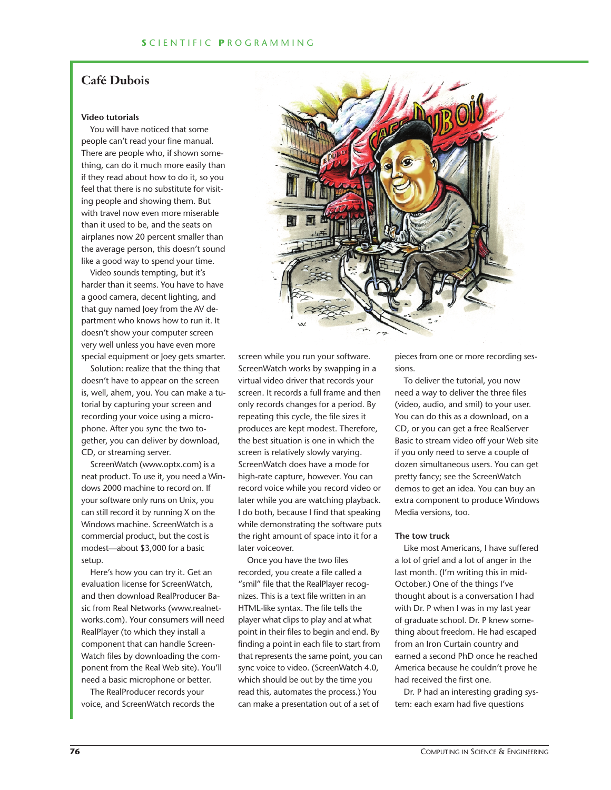## **Café Dubois**

#### **Video tutorials**

You will have noticed that some people can't read your fine manual. There are people who, if shown something, can do it much more easily than if they read about how to do it, so you feel that there is no substitute for visiting people and showing them. But with travel now even more miserable than it used to be, and the seats on airplanes now 20 percent smaller than the average person, this doesn't sound like a good way to spend your time.

Video sounds tempting, but it's harder than it seems. You have to have a good camera, decent lighting, and that guy named Joey from the AV department who knows how to run it. It doesn't show your computer screen very well unless you have even more special equipment or Joey gets smarter.

Solution: realize that the thing that doesn't have to appear on the screen is, well, ahem, you. You can make a tutorial by capturing your screen and recording your voice using a microphone. After you sync the two together, you can deliver by download, CD, or streaming server.

ScreenWatch (www.optx.com) is a neat product. To use it, you need a Windows 2000 machine to record on. If your software only runs on Unix, you can still record it by running X on the Windows machine. ScreenWatch is a commercial product, but the cost is modest—about \$3,000 for a basic setup.

Here's how you can try it. Get an evaluation license for ScreenWatch, and then download RealProducer Basic from Real Networks (www.realnetworks.com). Your consumers will need RealPlayer (to which they install a component that can handle Screen-Watch files by downloading the component from the Real Web site). You'll need a basic microphone or better.

The RealProducer records your voice, and ScreenWatch records the



Once you have the two files recorded, you create a file called a "smil" file that the RealPlayer recognizes. This is a text file written in an HTML-like syntax. The file tells the player what clips to play and at what point in their files to begin and end. By finding a point in each file to start from that represents the same point, you can sync voice to video. (ScreenWatch 4.0, which should be out by the time you read this, automates the process.) You can make a presentation out of a set of

pieces from one or more recording sessions.

To deliver the tutorial, you now need a way to deliver the three files (video, audio, and smil) to your user. You can do this as a download, on a CD, or you can get a free RealServer Basic to stream video off your Web site if you only need to serve a couple of dozen simultaneous users. You can get pretty fancy; see the ScreenWatch demos to get an idea. You can buy an extra component to produce Windows Media versions, too.

#### **The tow truck**

Like most Americans, I have suffered a lot of grief and a lot of anger in the last month. (I'm writing this in mid-October.) One of the things I've thought about is a conversation I had with Dr. P when I was in my last year of graduate school. Dr. P knew something about freedom. He had escaped from an Iron Curtain country and earned a second PhD once he reached America because he couldn't prove he had received the first one.

Dr. P had an interesting grading system: each exam had five questions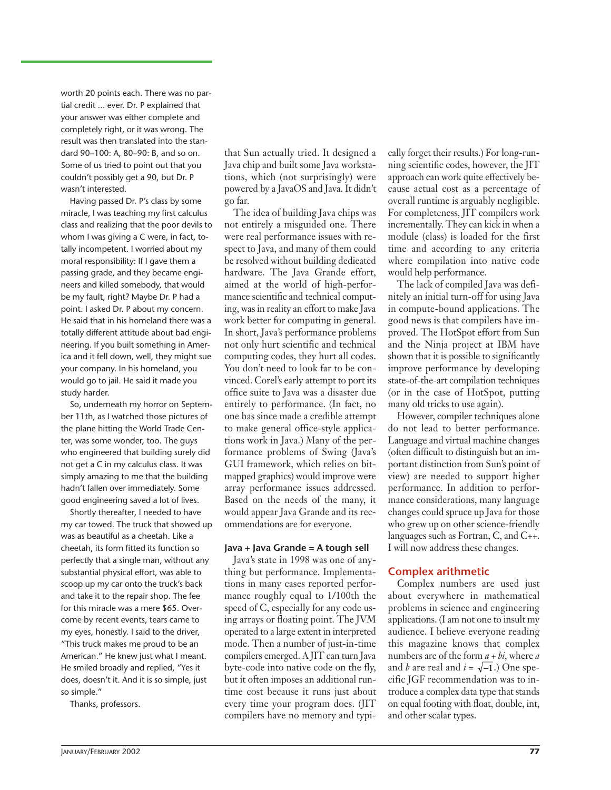worth 20 points each. There was no partial credit ... ever. Dr. P explained that your answer was either complete and completely right, or it was wrong. The result was then translated into the standard 90–100: A, 80–90: B, and so on. Some of us tried to point out that you couldn't possibly get a 90, but Dr. P wasn't interested.

Having passed Dr. P's class by some miracle, I was teaching my first calculus class and realizing that the poor devils to whom I was giving a C were, in fact, totally incompetent. I worried about my moral responsibility: If I gave them a passing grade, and they became engineers and killed somebody, that would be my fault, right? Maybe Dr. P had a point. I asked Dr. P about my concern. He said that in his homeland there was a totally different attitude about bad engineering. If you built something in America and it fell down, well, they might sue your company. In his homeland, you would go to jail. He said it made you study harder.

So, underneath my horror on September 11th, as I watched those pictures of the plane hitting the World Trade Center, was some wonder, too. The guys who engineered that building surely did not get a C in my calculus class. It was simply amazing to me that the building hadn't fallen over immediately. Some good engineering saved a lot of lives.

Shortly thereafter, I needed to have my car towed. The truck that showed up was as beautiful as a cheetah. Like a cheetah, its form fitted its function so perfectly that a single man, without any substantial physical effort, was able to scoop up my car onto the truck's back and take it to the repair shop. The fee for this miracle was a mere \$65. Overcome by recent events, tears came to my eyes, honestly. I said to the driver, "This truck makes me proud to be an American." He knew just what I meant. He smiled broadly and replied, "Yes it does, doesn't it. And it is so simple, just so simple."

Thanks, professors.

that Sun actually tried. It designed a Java chip and built some Java workstations, which (not surprisingly) were powered by a JavaOS and Java. It didn't go far.

The idea of building Java chips was not entirely a misguided one. There were real performance issues with respect to Java, and many of them could be resolved without building dedicated hardware. The Java Grande effort, aimed at the world of high-performance scientific and technical computing, was in reality an effort to make Java work better for computing in general. In short, Java's performance problems not only hurt scientific and technical computing codes, they hurt all codes. You don't need to look far to be convinced. Corel's early attempt to port its office suite to Java was a disaster due entirely to performance. (In fact, no one has since made a credible attempt to make general office-style applications work in Java.) Many of the performance problems of Swing (Java's GUI framework, which relies on bitmapped graphics) would improve were array performance issues addressed. Based on the needs of the many, it would appear Java Grande and its recommendations are for everyone.

#### **Java + Java Grande = A tough sell**

Java's state in 1998 was one of anything but performance. Implementations in many cases reported performance roughly equal to 1/100th the speed of C, especially for any code using arrays or floating point. The JVM operated to a large extent in interpreted mode. Then a number of just-in-time compilers emerged. A JIT can turn Java byte-code into native code on the fly, but it often imposes an additional runtime cost because it runs just about every time your program does. (JIT compilers have no memory and typi-

cally forget their results.) For long-running scientific codes, however, the JIT approach can work quite effectively because actual cost as a percentage of overall runtime is arguably negligible. For completeness, JIT compilers work incrementally. They can kick in when a module (class) is loaded for the first time and according to any criteria where compilation into native code would help performance.

The lack of compiled Java was definitely an initial turn-off for using Java in compute-bound applications. The good news is that compilers have improved. The HotSpot effort from Sun and the Ninja project at IBM have shown that it is possible to significantly improve performance by developing state-of-the-art compilation techniques (or in the case of HotSpot, putting many old tricks to use again).

However, compiler techniques alone do not lead to better performance. Language and virtual machine changes (often difficult to distinguish but an important distinction from Sun's point of view) are needed to support higher performance. In addition to performance considerations, many language changes could spruce up Java for those who grew up on other science-friendly languages such as Fortran, C, and C++. I will now address these changes.

#### **Complex arithmetic**

Complex numbers are used just about everywhere in mathematical problems in science and engineering applications. (I am not one to insult my audience. I believe everyone reading this magazine knows that complex numbers are of the form *a* + *bi*, where *a* and *b* are real and  $i = \sqrt{-1}$ .) One specific JGF recommendation was to introduce a complex data type that stands on equal footing with float, double, int, and other scalar types.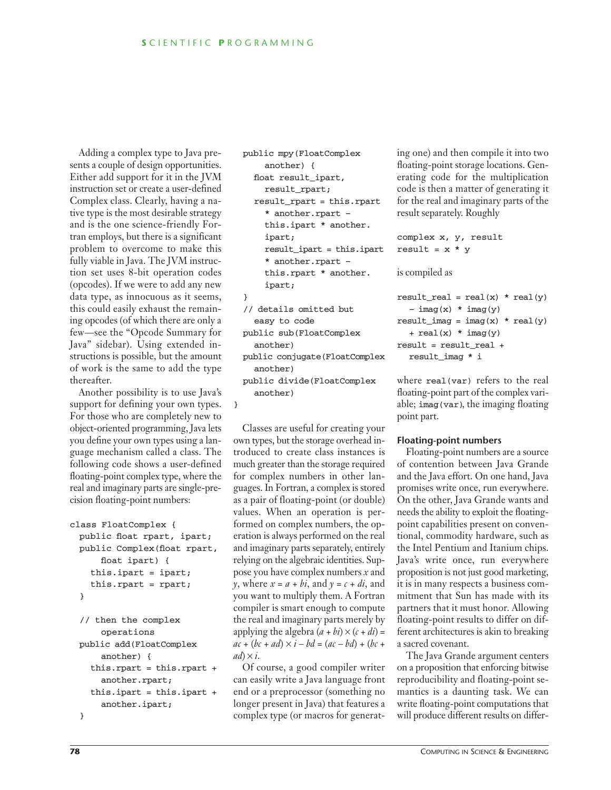Adding a complex type to Java presents a couple of design opportunities. Either add support for it in the JVM instruction set or create a user-defined Complex class. Clearly, having a native type is the most desirable strategy and is the one science-friendly Fortran employs, but there is a significant problem to overcome to make this fully viable in Java. The JVM instruction set uses 8-bit operation codes (opcodes). If we were to add any new data type, as innocuous as it seems, this could easily exhaust the remaining opcodes (of which there are only a few—see the "Opcode Summary for Java" sidebar). Using extended instructions is possible, but the amount of work is the same to add the type thereafter.

Another possibility is to use Java's support for defining your own types. For those who are completely new to object-oriented programming, Java lets you define your own types using a language mechanism called a class. The following code shows a user-defined floating-point complex type, where the real and imaginary parts are single-precision floating-point numbers:

```
class FloatComplex {
 public float rpart, ipart;
 public Complex(float rpart,
      float ipart) {
    this.ipart = ipart;
    this.rpart = rpart;
  }
```

```
// then the complex 
    operations
public add(FloatComplex 
    another) {
  this.rpart = this.rpart +
    another.rpart;
  this.ipart = this.ipart + 
    another.ipart;
}
```

```
public mpy(FloatComplex 
    another) {
  float result_ipart, 
    result_rpart;
  result_rpart = this.rpart
    * another.rpart –
    this.ipart * another.
    ipart;
    result_ipart = this.ipart
    * another.rpart –
    this.rpart * another.
    ipart;
}
// details omitted but
```
easy to code public sub(FloatComplex another)

another)

public conjugate(FloatComplex another) public divide(FloatComplex

}

Classes are useful for creating your own types, but the storage overhead introduced to create class instances is much greater than the storage required for complex numbers in other languages. In Fortran, a complex is stored as a pair of floating-point (or double) values. When an operation is performed on complex numbers, the operation is always performed on the real and imaginary parts separately, entirely relying on the algebraic identities. Suppose you have complex numbers *x* and *y*, where  $x = a + bi$ , and  $y = c + di$ , and you want to multiply them. A Fortran compiler is smart enough to compute the real and imaginary parts merely by applying the algebra  $(a + bi) \times (c + di) =$  $ac + (bc + ad) \times i - bd = (ac - bd) + (bc + b)$  $ad \times i$ .

Of course, a good compiler writer can easily write a Java language front end or a preprocessor (something no longer present in Java) that features a complex type (or macros for generating one) and then compile it into two floating-point storage locations. Generating code for the multiplication code is then a matter of generating it for the real and imaginary parts of the result separately. Roughly

```
complex x, y, result
result = x * y
```
is compiled as

```
result_real = real(x) * real(y)
  – \text{imag}(x) * \text{imag}(y)result_imag = imag(x) * real(y)+ real(x) * imag(y)result = result real +
  result_imag * i
```
where real(var) refers to the real floating-point part of the complex variable; imag(var), the imaging floating point part.

#### **Floating-point numbers**

Floating-point numbers are a source of contention between Java Grande and the Java effort. On one hand, Java promises write once, run everywhere. On the other, Java Grande wants and needs the ability to exploit the floatingpoint capabilities present on conventional, commodity hardware, such as the Intel Pentium and Itanium chips. Java's write once, run everywhere proposition is not just good marketing, it is in many respects a business commitment that Sun has made with its partners that it must honor. Allowing floating-point results to differ on different architectures is akin to breaking a sacred covenant.

The Java Grande argument centers on a proposition that enforcing bitwise reproducibility and floating-point semantics is a daunting task. We can write floating-point computations that will produce different results on differ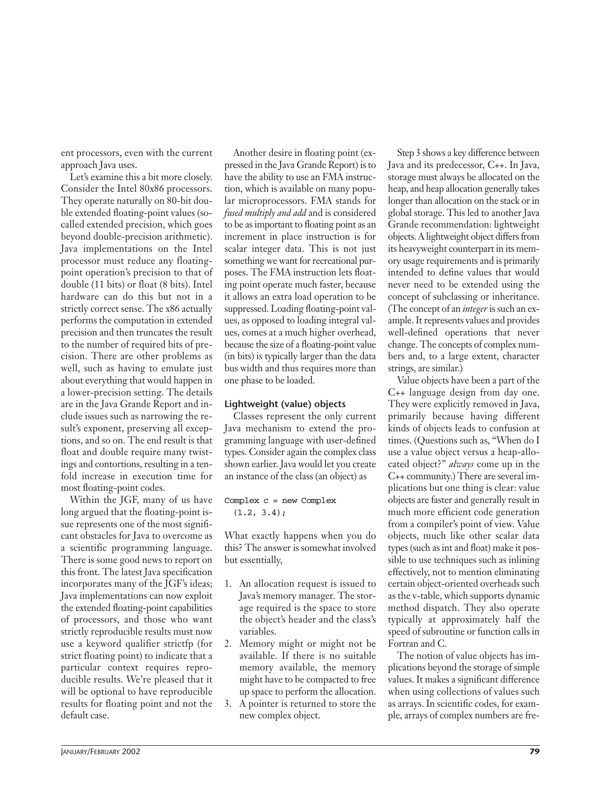ent processors, even with the current approach Java uses.

Let's examine this a bit more closely. Consider the Intel 80x86 processors. They operate naturally on 80-bit double extended floating-point values (socalled extended precision, which goes beyond double-precision arithmetic). Java implementations on the Intel processor must reduce any floatingpoint operation's precision to that of double (11 bits) or float (8 bits). Intel hardware can do this but not in a strictly correct sense. The x86 actually performs the computation in extended precision and then truncates the result to the number of required bits of precision. There are other problems as well, such as having to emulate just about everything that would happen in a lower-precision setting. The details are in the Java Grande Report and include issues such as narrowing the result's exponent, preserving all exceptions, and so on. The end result is that float and double require many twistings and contortions, resulting in a tenfold increase in execution time for most floating-point codes.

Within the JGF, many of us have long argued that the floating-point issue represents one of the most significant obstacles for Java to overcome as a scientific programming language. There is some good news to report on this front. The latest Java specification incorporates many of the JGF's ideas; Java implementations can now exploit the extended floating-point capabilities of processors, and those who want strictly reproducible results must now use a keyword qualifier strictfp (for strict floating point) to indicate that a particular context requires reproducible results. We're pleased that it will be optional to have reproducible results for floating point and not the default case.

Another desire in floating point (expressed in the Java Grande Report) is to have the ability to use an FMA instruction, which is available on many popular microprocessors. FMA stands for *fused multiply and add* and is considered to be as important to floating point as an increment in place instruction is for scalar integer data. This is not just something we want for recreational purposes. The FMA instruction lets floating point operate much faster, because it allows an extra load operation to be suppressed. Loading floating-point values, as opposed to loading integral values, comes at a much higher overhead, because the size of a floating-point value (in bits) is typically larger than the data bus width and thus requires more than one phase to be loaded.

#### **Lightweight (value) objects**

Classes represent the only current Java mechanism to extend the programming language with user-defined types. Consider again the complex class shown earlier. Java would let you create an instance of the class (an object) as

Complex c = new Complex  $(1.2, 3.4);$ 

What exactly happens when you do this? The answer is somewhat involved but essentially,

- 1. An allocation request is issued to Java's memory manager. The storage required is the space to store the object's header and the class's variables.
- 2. Memory might or might not be available. If there is no suitable memory available, the memory might have to be compacted to free up space to perform the allocation.
- 3. A pointer is returned to store the new complex object.

Step 3 shows a key difference between Java and its predecessor, C++. In Java, storage must always be allocated on the heap, and heap allocation generally takes longer than allocation on the stack or in global storage. This led to another Java Grande recommendation: lightweight objects. A lightweight object differs from its heavyweight counterpart in its memory usage requirements and is primarily intended to define values that would never need to be extended using the concept of subclassing or inheritance. (The concept of an *integer* is such an example. It represents values and provides well-defined operations that never change. The concepts of complex numbers and, to a large extent, character strings, are similar.)

Value objects have been a part of the C++ language design from day one. They were explicitly removed in Java, primarily because having different kinds of objects leads to confusion at times. (Questions such as, "When do I use a value object versus a heap-allocated object?" *always* come up in the C++ community.) There are several implications but one thing is clear: value objects are faster and generally result in much more efficient code generation from a compiler's point of view. Value objects, much like other scalar data types (such as int and float) make it possible to use techniques such as inlining effectively, not to mention eliminating certain object-oriented overheads such as the v-table, which supports dynamic method dispatch. They also operate typically at approximately half the speed of subroutine or function calls in Fortran and C.

The notion of value objects has implications beyond the storage of simple values. It makes a significant difference when using collections of values such as arrays. In scientific codes, for example, arrays of complex numbers are fre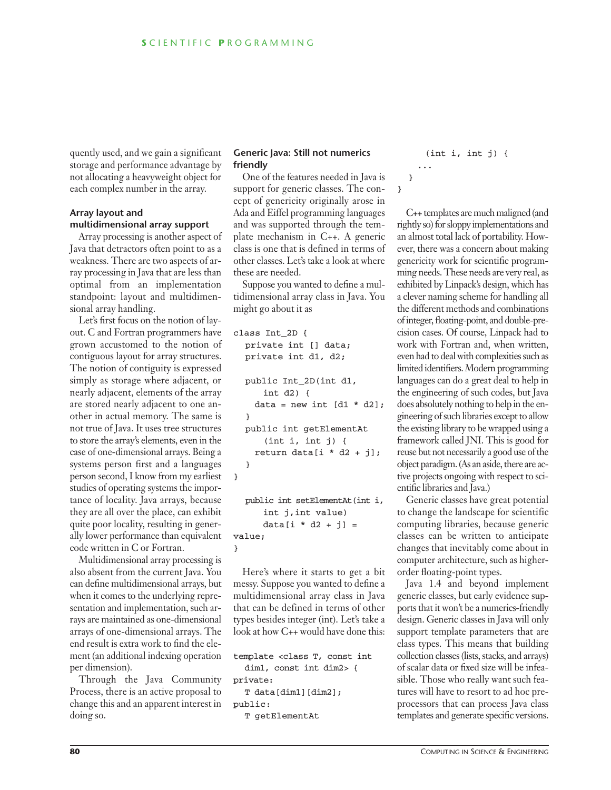quently used, and we gain a significant storage and performance advantage by not allocating a heavyweight object for each complex number in the array.

#### **Array layout and multidimensional array support**

Array processing is another aspect of Java that detractors often point to as a weakness. There are two aspects of array processing in Java that are less than optimal from an implementation standpoint: layout and multidimensional array handling.

Let's first focus on the notion of layout. C and Fortran programmers have grown accustomed to the notion of contiguous layout for array structures. The notion of contiguity is expressed simply as storage where adjacent, or nearly adjacent, elements of the array are stored nearly adjacent to one another in actual memory. The same is not true of Java. It uses tree structures to store the array's elements, even in the case of one-dimensional arrays. Being a systems person first and a languages person second, I know from my earliest studies of operating systems the importance of locality. Java arrays, because they are all over the place, can exhibit quite poor locality, resulting in generally lower performance than equivalent code written in C or Fortran.

Multidimensional array processing is also absent from the current Java. You can define multidimensional arrays, but when it comes to the underlying representation and implementation, such arrays are maintained as one-dimensional arrays of one-dimensional arrays. The end result is extra work to find the element (an additional indexing operation per dimension).

Through the Java Community Process, there is an active proposal to change this and an apparent interest in doing so.

#### **Generic Java: Still not numerics friendly**

One of the features needed in Java is support for generic classes. The concept of genericity originally arose in Ada and Eiffel programming languages and was supported through the template mechanism in C++. A generic class is one that is defined in terms of other classes. Let's take a look at where these are needed.

Suppose you wanted to define a multidimensional array class in Java. You might go about it as

```
class Int_2D {
  private int [] data;
  private int d1, d2;
  public Int_2D(int d1, 
      int d2) {
    data = new int [d1 * d2];}
  public int getElementAt
      (int i, int j) {
    return data[i * d2 + j];
   }
}
  public int setElementAt(int i,
      int j,int value)
```
data[i  $*$  d2 + j] = value; }

Here's where it starts to get a bit messy. Suppose you wanted to define a multidimensional array class in Java that can be defined in terms of other types besides integer (int). Let's take a look at how C++ would have done this:

template <class T, const int

dim1, const int dim2> { private: T data[dim1][dim2];

```
public:
```

```
T getElementAt
```
(int i, int j) { ...

}

}

C++ templates are much maligned (and rightly so) for sloppy implementations and an almost total lack of portability. However, there was a concern about making genericity work for scientific programming needs. These needs are very real, as exhibited by Linpack's design, which has a clever naming scheme for handling all the different methods and combinations of integer, floating-point, and double-precision cases. Of course, Linpack had to work with Fortran and, when written, even had to deal with complexities such as limited identifiers. Modern programming languages can do a great deal to help in the engineering of such codes, but Java does absolutely nothing to help in the engineering of such libraries except to allow the existing library to be wrapped using a framework called JNI. This is good for reuse but not necessarily a good use of the object paradigm. (As an aside, there are active projects ongoing with respect to scientific libraries and Java.)

Generic classes have great potential to change the landscape for scientific computing libraries, because generic classes can be written to anticipate changes that inevitably come about in computer architecture, such as higherorder floating-point types.

Java 1.4 and beyond implement generic classes, but early evidence supports that it won't be a numerics-friendly design. Generic classes in Java will only support template parameters that are class types. This means that building collection classes (lists, stacks, and arrays) of scalar data or fixed size will be infeasible. Those who really want such features will have to resort to ad hoc preprocessors that can process Java class templates and generate specific versions.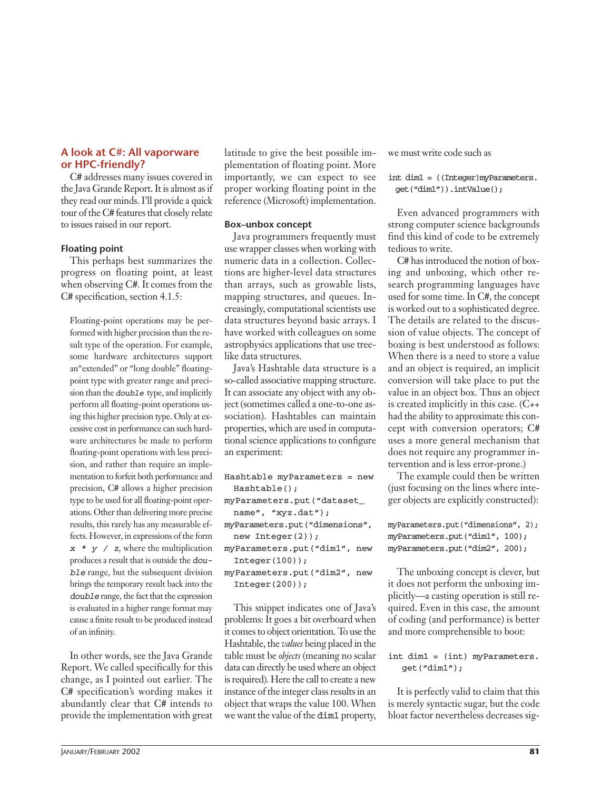#### **A look at C#: All vaporware or HPC-friendly?**

C# addresses many issues covered in the Java Grande Report. It is almost as if they read our minds. I'll provide a quick tour of the C# features that closely relate to issues raised in our report.

#### **Floating point**

This perhaps best summarizes the progress on floating point, at least when observing C#. It comes from the C# specification, section 4.1.5:

Floating-point operations may be performed with higher precision than the result type of the operation. For example, some hardware architectures support an"extended" or "long double" floatingpoint type with greater range and precision than the *double* type, and implicitly perform all floating-point operations using this higher precision type. Only at excessive cost in performance can such hardware architectures be made to perform floating-point operations with less precision, and rather than require an implementation to forfeit both performance and precision, C# allows a higher precision type to be used for all floating-point operations. Other than delivering more precise results, this rarely has any measurable effects. However, in expressions of the form  $x * y / z$ , where the multiplication produces a result that is outside the *double* range, but the subsequent division brings the temporary result back into the *double* range, the fact that the expression is evaluated in a higher range format may cause a finite result to be produced instead of an infinity.

In other words, see the Java Grande Report. We called specifically for this change, as I pointed out earlier. The C# specification's wording makes it abundantly clear that C# intends to provide the implementation with great

latitude to give the best possible implementation of floating point. More importantly, we can expect to see proper working floating point in the reference (Microsoft) implementation.

#### **Box–unbox concept**

Java programmers frequently must use wrapper classes when working with numeric data in a collection. Collections are higher-level data structures than arrays, such as growable lists, mapping structures, and queues. Increasingly, computational scientists use data structures beyond basic arrays. I have worked with colleagues on some astrophysics applications that use treelike data structures.

Java's Hashtable data structure is a so-called associative mapping structure. It can associate any object with any object (sometimes called a one-to-one association). Hashtables can maintain properties, which are used in computational science applications to configure an experiment:

```
Hashtable myParameters = new 
 Hashtable();
myParameters.put("dataset_
  name", "xyz.dat");
myParameters.put("dimensions",
```

```
new Integer(2));
myParameters.put("dim1", new
```

```
Integer(100);
myParameters.put("dim2", new
```

```
Integer(200);
```
This snippet indicates one of Java's problems: It goes a bit overboard when it comes to object orientation. To use the Hashtable, the *values* being placed in the table must be *objects* (meaning no scalar data can directly be used where an object is required). Here the call to create a new instance of the integer class results in an object that wraps the value 100. When we want the value of the dim1 property,

we must write code such as

int dim1 = ((Integer)myParameters. get("dim1")).intValue();

Even advanced programmers with strong computer science backgrounds find this kind of code to be extremely tedious to write.

C# has introduced the notion of boxing and unboxing, which other research programming languages have used for some time. In C#, the concept is worked out to a sophisticated degree. The details are related to the discussion of value objects. The concept of boxing is best understood as follows: When there is a need to store a value and an object is required, an implicit conversion will take place to put the value in an object box. Thus an object is created implicitly in this case. (C++ had the ability to approximate this concept with conversion operators; C# uses a more general mechanism that does not require any programmer intervention and is less error-prone.)

The example could then be written (just focusing on the lines where integer objects are explicitly constructed):

myParameters.put("dimensions", 2); myParameters.put("dim1", 100); myParameters.put("dim2", 200);

The unboxing concept is clever, but it does not perform the unboxing implicitly—a casting operation is still required. Even in this case, the amount of coding (and performance) is better and more comprehensible to boot:

#### int dim1 = (int) myParameters. get("dim1");

It is perfectly valid to claim that this is merely syntactic sugar, but the code bloat factor nevertheless decreases sig-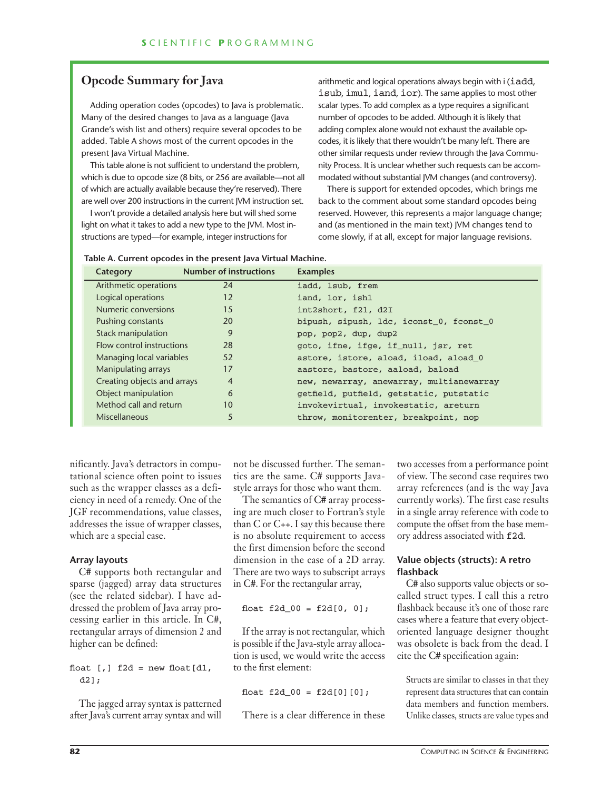## **Opcode Summary for Java**

Adding operation codes (opcodes) to Java is problematic. Many of the desired changes to Java as a language (Java Grande's wish list and others) require several opcodes to be added. Table A shows most of the current opcodes in the present Java Virtual Machine.

This table alone is not sufficient to understand the problem, which is due to opcode size (8 bits, or 256 are available—not all of which are actually available because they're reserved). There are well over 200 instructions in the current JVM instruction set.

I won't provide a detailed analysis here but will shed some light on what it takes to add a new type to the JVM. Most instructions are typed—for example, integer instructions for

arithmetic and logical operations always begin with i (iadd, isub, imul, iand, ior). The same applies to most other scalar types. To add complex as a type requires a significant number of opcodes to be added. Although it is likely that adding complex alone would not exhaust the available opcodes, it is likely that there wouldn't be many left. There are other similar requests under review through the Java Community Process. It is unclear whether such requests can be accommodated without substantial JVM changes (and controversy).

There is support for extended opcodes, which brings me back to the comment about some standard opcodes being reserved. However, this represents a major language change; and (as mentioned in the main text) JVM changes tend to come slowly, if at all, except for major language revisions.

| Category                    | <b>Number of instructions</b> | <b>Examples</b>                          |
|-----------------------------|-------------------------------|------------------------------------------|
| Arithmetic operations       | 24                            | iadd, 1sub, frem                         |
| Logical operations          | 12                            | iand, lor, ishl                          |
| Numeric conversions         | 15                            | int2short, f21, d2I                      |
| Pushing constants           | 20                            | bipush, sipush, 1dc, iconst 0, fconst 0  |
| <b>Stack manipulation</b>   | 9                             | pop, pop2, dup, dup2                     |
| Flow control instructions   | 28                            | goto, ifne, ifge, if_null, jsr, ret      |
| Managing local variables    | 52                            | astore, istore, aload, iload, aload 0    |
| Manipulating arrays         | 17                            | aastore, bastore, aaload, baload         |
| Creating objects and arrays | $\overline{4}$                | new, newarray, anewarray, multianewarray |
| Object manipulation         | 6                             | getfield, putfield, getstatic, putstatic |
| Method call and return      | 10                            | invokevirtual, invokestatic, areturn     |
| Miscellaneous               | 5                             | throw, monitorenter, breakpoint, nop     |

nificantly. Java's detractors in computational science often point to issues such as the wrapper classes as a deficiency in need of a remedy. One of the JGF recommendations, value classes, addresses the issue of wrapper classes, which are a special case.

#### **Array layouts**

C# supports both rectangular and sparse (jagged) array data structures (see the related sidebar). I have addressed the problem of Java array processing earlier in this article. In C#, rectangular arrays of dimension 2 and higher can be defined:

float  $[,]$  f2d = new float  $[d1,$ d2];

The jagged array syntax is patterned after Java's current array syntax and will not be discussed further. The semantics are the same. C# supports Javastyle arrays for those who want them.

The semantics of C# array processing are much closer to Fortran's style than C or C++. I say this because there is no absolute requirement to access the first dimension before the second dimension in the case of a 2D array. There are two ways to subscript arrays in C#. For the rectangular array,

#### float  $f2d_00 = f2d[0, 0];$

If the array is not rectangular, which is possible if the Java-style array allocation is used, we would write the access to the first element:

float  $f2d_00 = f2d[0][0];$ 

There is a clear difference in these

two accesses from a performance point of view. The second case requires two array references (and is the way Java currently works). The first case results in a single array reference with code to compute the offset from the base memory address associated with f2d.

#### **Value objects (structs): A retro flashback**

C# also supports value objects or socalled struct types. I call this a retro flashback because it's one of those rare cases where a feature that every objectoriented language designer thought was obsolete is back from the dead. I cite the C# specification again:

Structs are similar to classes in that they represent data structures that can contain data members and function members. Unlike classes, structs are value types and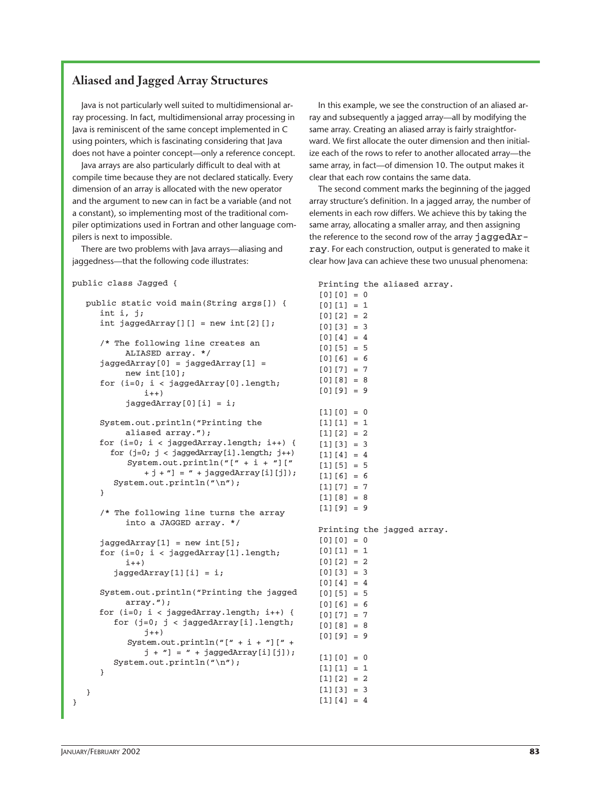### **Aliased and Jagged Array Structures**

Java is not particularly well suited to multidimensional array processing. In fact, multidimensional array processing in Java is reminiscent of the same concept implemented in C using pointers, which is fascinating considering that Java does not have a pointer concept—only a reference concept.

Java arrays are also particularly difficult to deal with at compile time because they are not declared statically. Every dimension of an array is allocated with the new operator and the argument to new can in fact be a variable (and not a constant), so implementing most of the traditional compiler optimizations used in Fortran and other language compilers is next to impossible.

There are two problems with Java arrays—aliasing and jaggedness—that the following code illustrates:

#### public class Jagged {

```
public static void main(String args[]) {
  int i, j;
  int jaggedArray[][] = new int[2][];
   /* The following line creates an 
       ALIASED array. */
   jaggerArray[0] = jaggedArray[1] =new int[10];
   for (i=0; i < jaggedArray[0].length; 
           i++jaggerArray[0][i] = i;System.out.println("Printing the 
       aliased array.");
  for (i=0; i < jaggedArray.length; i++) {
     for (j=0; j < jaggedArray[i].length; j++)System.out.println("[" + i + "]["
           +j + "] = " + jaggedArray[i][j]);System.out.println("\n");
   }
   /* The following line turns the array 
        into a JAGGED array. */
   jagger(1) = new int[5];
   for (i=0; i < jaggedArray[1].length; 
        i++jaggedArray[1][i] = i;System.out.println("Printing the jagged 
       array.");
  for (i=0; i < jaggedArray.length; i++) {
     for (j=0; j < jaggedArray[i].length; 
           j++)
        System.out.println("[" + i + "][" + 
           j + "] = " + jaggedArray[i][j]);System.out.println("\n");
   }
}
```
In this example, we see the construction of an aliased array and subsequently a jagged array—all by modifying the same array. Creating an aliased array is fairly straightforward. We first allocate the outer dimension and then initialize each of the rows to refer to another allocated array—the same array, in fact—of dimension 10. The output makes it clear that each row contains the same data.

The second comment marks the beginning of the jagged array structure's definition. In a jagged array, the number of elements in each row differs. We achieve this by taking the same array, allocating a smaller array, and then assigning the reference to the second row of the array jaggedArray. For each construction, output is generated to make it clear how Java can achieve these two unusual phenomena:

Printing the aliased array.  $[0][0] = 0$  $[0][1] = 1$  $[0][2] = 2$  $[0][3] = 3$  $[0]$ [4] = 4  $[0] [5] = 5$  $[0][6] = 6$  $[0]$  $[7] = 7$  $[0][8] = 8$ [0][9] = 9  $[1][0] = 0$  $[1][1] = 1$  $[1][2] = 2$  $[1][3] = 3$  $[1][4] = 4$  $[1][5] = 5$  $[1][6] = 6$  $[1][7] = 7$  $[1][8] = 8$  $[1][9] = 9$ Printing the jagged array.  $[0][0] = 0$  $[0][1] = 1$  $[0][2] = 2$  $[0][3] = 3$ [0][4] = 4 [0][5] = 5 [0][6] = 6 [0][7] = 7  $[0]$ [8] = 8  $[0][9] = 9$  $[1][0] = 0$  $[1][1] = 1$  $[1][2] = 2$  $[1][3] = 3$  $[1][4] = 4$ 

}